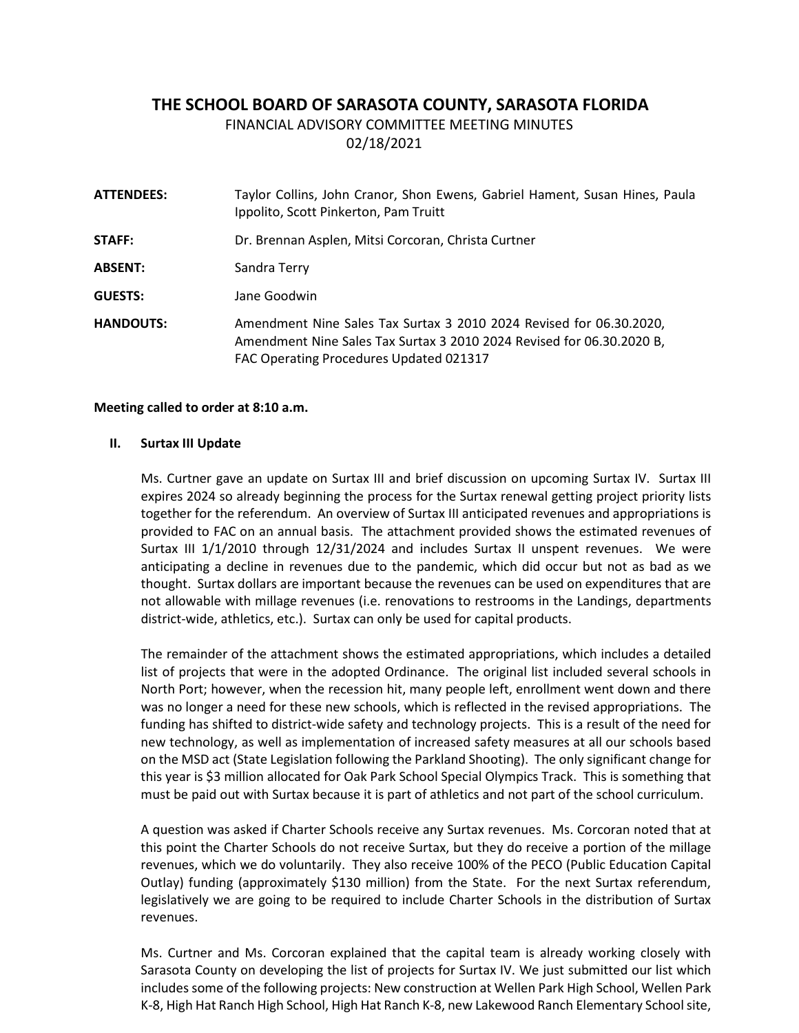# **THE SCHOOL BOARD OF SARASOTA COUNTY, SARASOTA FLORIDA**

FINANCIAL ADVISORY COMMITTEE MEETING MINUTES

02/18/2021

| <b>ATTENDEES:</b> | Taylor Collins, John Cranor, Shon Ewens, Gabriel Hament, Susan Hines, Paula<br>Ippolito, Scott Pinkerton, Pam Truitt                                                                    |
|-------------------|-----------------------------------------------------------------------------------------------------------------------------------------------------------------------------------------|
| STAFF:            | Dr. Brennan Asplen, Mitsi Corcoran, Christa Curtner                                                                                                                                     |
| <b>ABSENT:</b>    | Sandra Terry                                                                                                                                                                            |
| <b>GUESTS:</b>    | Jane Goodwin                                                                                                                                                                            |
| <b>HANDOUTS:</b>  | Amendment Nine Sales Tax Surtax 3 2010 2024 Revised for 06.30.2020,<br>Amendment Nine Sales Tax Surtax 3 2010 2024 Revised for 06.30.2020 B,<br>FAC Operating Procedures Updated 021317 |

# **Meeting called to order at 8:10 a.m.**

### **II. Surtax III Update**

Ms. Curtner gave an update on Surtax III and brief discussion on upcoming Surtax IV. Surtax III expires 2024 so already beginning the process for the Surtax renewal getting project priority lists together for the referendum. An overview of Surtax III anticipated revenues and appropriations is provided to FAC on an annual basis. The attachment provided shows the estimated revenues of Surtax III 1/1/2010 through 12/31/2024 and includes Surtax II unspent revenues. We were anticipating a decline in revenues due to the pandemic, which did occur but not as bad as we thought. Surtax dollars are important because the revenues can be used on expenditures that are not allowable with millage revenues (i.e. renovations to restrooms in the Landings, departments district-wide, athletics, etc.). Surtax can only be used for capital products.

The remainder of the attachment shows the estimated appropriations, which includes a detailed list of projects that were in the adopted Ordinance. The original list included several schools in North Port; however, when the recession hit, many people left, enrollment went down and there was no longer a need for these new schools, which is reflected in the revised appropriations. The funding has shifted to district-wide safety and technology projects. This is a result of the need for new technology, as well as implementation of increased safety measures at all our schools based on the MSD act (State Legislation following the Parkland Shooting). The only significant change for this year is \$3 million allocated for Oak Park School Special Olympics Track. This is something that must be paid out with Surtax because it is part of athletics and not part of the school curriculum.

A question was asked if Charter Schools receive any Surtax revenues. Ms. Corcoran noted that at this point the Charter Schools do not receive Surtax, but they do receive a portion of the millage revenues, which we do voluntarily. They also receive 100% of the PECO (Public Education Capital Outlay) funding (approximately \$130 million) from the State. For the next Surtax referendum, legislatively we are going to be required to include Charter Schools in the distribution of Surtax revenues.

Ms. Curtner and Ms. Corcoran explained that the capital team is already working closely with Sarasota County on developing the list of projects for Surtax IV. We just submitted our list which includes some of the following projects: New construction at Wellen Park High School, Wellen Park K-8, High Hat Ranch High School, High Hat Ranch K-8, new Lakewood Ranch Elementary School site,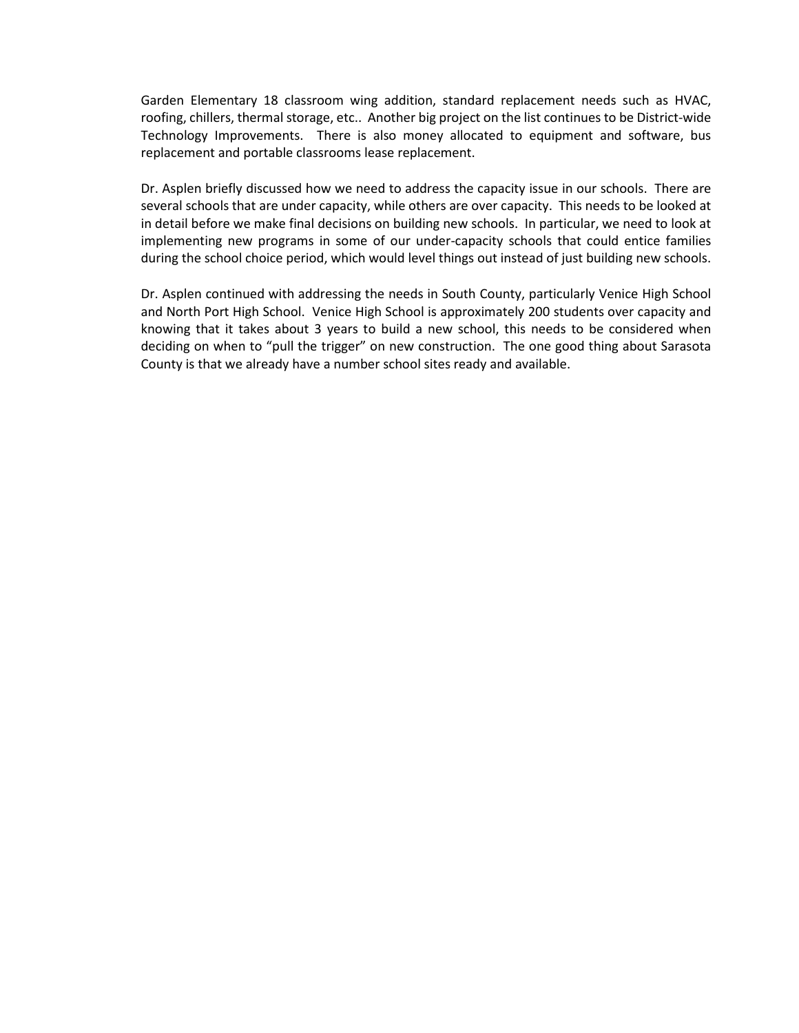Garden Elementary 18 classroom wing addition, standard replacement needs such as HVAC, roofing, chillers, thermal storage, etc.. Another big project on the list continues to be District-wide Technology Improvements. There is also money allocated to equipment and software, bus replacement and portable classrooms lease replacement.

Dr. Asplen briefly discussed how we need to address the capacity issue in our schools. There are several schools that are under capacity, while others are over capacity. This needs to be looked at in detail before we make final decisions on building new schools. In particular, we need to look at implementing new programs in some of our under-capacity schools that could entice families during the school choice period, which would level things out instead of just building new schools.

Dr. Asplen continued with addressing the needs in South County, particularly Venice High School and North Port High School. Venice High School is approximately 200 students over capacity and knowing that it takes about 3 years to build a new school, this needs to be considered when deciding on when to "pull the trigger" on new construction. The one good thing about Sarasota County is that we already have a number school sites ready and available.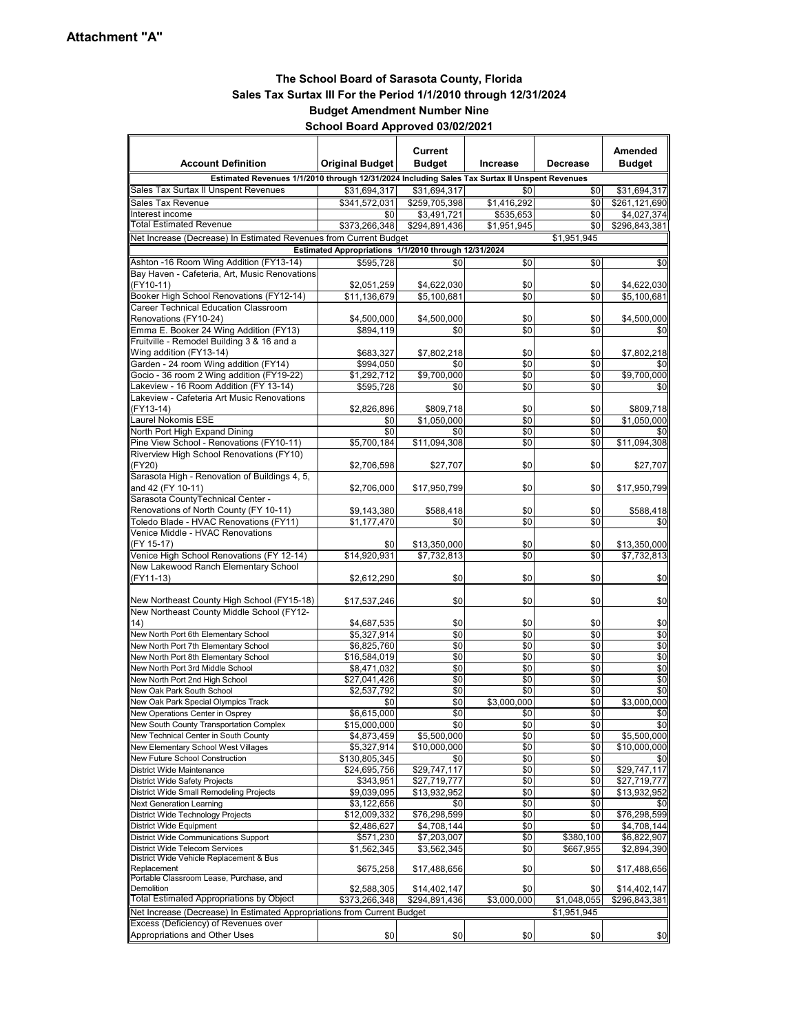## **The School Board of Sarasota County, Florida Sales Tax Surtax III For the Period 1/1/2010 through 12/31/2024 Budget Amendment Number Nine School Board Approved 03/02/2021**

| <b>Account Definition</b>                                                                     | <b>Original Budget</b>                               | <b>Current</b><br><b>Budget</b> | Increase           | <b>Decrease</b>        | Amended<br><b>Budget</b>   |  |  |  |  |  |  |  |
|-----------------------------------------------------------------------------------------------|------------------------------------------------------|---------------------------------|--------------------|------------------------|----------------------------|--|--|--|--|--|--|--|
| Estimated Revenues 1/1/2010 through 12/31/2024 Including Sales Tax Surtax II Unspent Revenues |                                                      |                                 |                    |                        |                            |  |  |  |  |  |  |  |
| Sales Tax Surtax II Unspent Revenues                                                          | \$31,694,317                                         | \$31,694,317                    | \$0                | \$0                    | \$31,694,317               |  |  |  |  |  |  |  |
| Sales Tax Revenue                                                                             | \$341,572,031                                        | \$259,705,398                   | \$1,416,292        | \$0                    | \$261,121,690              |  |  |  |  |  |  |  |
| Interest income                                                                               | \$0                                                  | \$3,491,721                     | \$535,653          | \$0                    | \$4,027,374                |  |  |  |  |  |  |  |
| <b>Total Estimated Revenue</b>                                                                | \$373,266,348                                        | \$294,891,436                   | \$1,951,945        | \$0                    | \$296,843,381              |  |  |  |  |  |  |  |
| Net Increase (Decrease) In Estimated Revenues from Current Budget                             |                                                      |                                 |                    | \$1,951,945            |                            |  |  |  |  |  |  |  |
| Ashton -16 Room Wing Addition (FY13-14)                                                       | Estimated Appropriations 1/1/2010 through 12/31/2024 |                                 |                    |                        |                            |  |  |  |  |  |  |  |
| Bay Haven - Cafeteria, Art, Music Renovations                                                 | \$595,728                                            | \$0                             | \$0                | \$0                    | \$0                        |  |  |  |  |  |  |  |
| (FY10-11)                                                                                     | \$2.051.259                                          | \$4,622,030                     | \$0                | \$0                    | \$4,622,030                |  |  |  |  |  |  |  |
| Booker High School Renovations (FY12-14)                                                      | \$11,136,679                                         | \$5,100,681                     | \$0                | \$0                    | \$5,100,681                |  |  |  |  |  |  |  |
| Career Technical Education Classroom                                                          |                                                      |                                 |                    |                        |                            |  |  |  |  |  |  |  |
| Renovations (FY10-24)                                                                         | \$4,500,000                                          | \$4,500,000                     | \$0                | \$0                    | \$4,500,000                |  |  |  |  |  |  |  |
| Emma E. Booker 24 Wing Addition (FY13)                                                        | \$894,119                                            | \$0                             | \$0                | \$0                    | \$0                        |  |  |  |  |  |  |  |
| Fruitville - Remodel Building 3 & 16 and a                                                    |                                                      |                                 |                    |                        |                            |  |  |  |  |  |  |  |
| Wing addition (FY13-14)                                                                       | \$683,327                                            | \$7,802,218                     | \$0                | \$0                    | \$7,802,218                |  |  |  |  |  |  |  |
| Garden - 24 room Wing addition (FY14)<br>Gocio - 36 room 2 Wing addition (FY19-22)            | \$994,050<br>\$1,292,712                             | \$0<br>\$9,700,000              | \$0<br>\$0         | \$0<br>\$0             | \$0<br>\$9,700,000         |  |  |  |  |  |  |  |
| Lakeview - 16 Room Addition (FY 13-14)                                                        | \$595,728                                            | \$0                             | \$0                | \$0                    | \$0                        |  |  |  |  |  |  |  |
| Lakeview - Cafeteria Art Music Renovations                                                    |                                                      |                                 |                    |                        |                            |  |  |  |  |  |  |  |
| (FY13-14)                                                                                     | \$2,826,896                                          | \$809,718                       | \$0                | \$0                    | \$809,718                  |  |  |  |  |  |  |  |
| <b>Laurel Nokomis ESE</b>                                                                     | \$0                                                  | \$1.050.000                     | \$0                | \$0                    | \$1.050.000                |  |  |  |  |  |  |  |
| North Port High Expand Dining                                                                 | \$0                                                  | \$0                             | \$0                | \$0                    | \$0                        |  |  |  |  |  |  |  |
| Pine View School - Renovations (FY10-11)                                                      | \$5,700,184                                          | \$11,094,308                    | \$0                | \$0                    | \$11.094.308               |  |  |  |  |  |  |  |
| Riverview High School Renovations (FY10)                                                      |                                                      |                                 |                    |                        |                            |  |  |  |  |  |  |  |
| (FY20)                                                                                        | \$2,706,598                                          | \$27,707                        | \$0                | \$0                    | \$27,707                   |  |  |  |  |  |  |  |
| Sarasota High - Renovation of Buildings 4, 5,                                                 |                                                      |                                 |                    |                        |                            |  |  |  |  |  |  |  |
| and 42 (FY 10-11)<br>Sarasota CountyTechnical Center -                                        | \$2,706,000                                          | \$17,950,799                    | \$0                | \$0                    | \$17,950,799               |  |  |  |  |  |  |  |
| Renovations of North County (FY 10-11)                                                        | \$9,143,380                                          | \$588,418                       | \$0                | \$0                    | \$588,418                  |  |  |  |  |  |  |  |
| Toledo Blade - HVAC Renovations (FY11)                                                        | \$1,177,470                                          | \$0                             | \$0                | \$0                    | \$0                        |  |  |  |  |  |  |  |
| Venice Middle - HVAC Renovations                                                              |                                                      |                                 |                    |                        |                            |  |  |  |  |  |  |  |
| (FY 15-17)                                                                                    | \$0                                                  | \$13,350,000                    | \$0                | \$0                    | \$13,350,000               |  |  |  |  |  |  |  |
| Venice High School Renovations (FY 12-14)                                                     | \$14,920,931                                         | \$7,732,813                     | \$0                | \$0                    | \$7,732,813                |  |  |  |  |  |  |  |
| New Lakewood Ranch Elementary School                                                          |                                                      |                                 |                    |                        |                            |  |  |  |  |  |  |  |
| (FY11-13)                                                                                     | \$2,612,290                                          | \$0                             | \$0                | \$0                    | \$0                        |  |  |  |  |  |  |  |
|                                                                                               |                                                      |                                 |                    |                        |                            |  |  |  |  |  |  |  |
| New Northeast County High School (FY15-18)<br>New Northeast County Middle School (FY12-       | \$17,537,246                                         | \$0                             | \$0                | \$0                    | \$0                        |  |  |  |  |  |  |  |
| 14)                                                                                           | \$4,687,535                                          | \$0                             | \$0                | \$0                    | \$0                        |  |  |  |  |  |  |  |
| New North Port 6th Elementary School                                                          | \$5,327,914                                          | \$0                             | \$0                | \$0                    | \$0                        |  |  |  |  |  |  |  |
| New North Port 7th Elementary School                                                          | \$6,825,760                                          | \$0                             | \$0                | \$0                    | \$0                        |  |  |  |  |  |  |  |
| New North Port 8th Elementary School                                                          | \$16,584,019                                         | \$0                             | \$0                | \$0                    | \$0                        |  |  |  |  |  |  |  |
| New North Port 3rd Middle School                                                              | \$8,471,032                                          | \$0                             | \$0                | \$0                    | \$0                        |  |  |  |  |  |  |  |
| New North Port 2nd High School                                                                | \$27,041,426                                         | \$0                             | \$0                | \$0                    | \$0                        |  |  |  |  |  |  |  |
| New Oak Park South School                                                                     | \$2,537,792                                          | \$0                             | \$0                | \$0                    | \$0                        |  |  |  |  |  |  |  |
| New Oak Park Special Olympics Track                                                           | \$0                                                  | \$0                             | \$3,000,000        | \$0                    | \$3,000,000                |  |  |  |  |  |  |  |
| New Operations Center in Osprey<br>New South County Transportation Complex                    | \$6,615,000<br>\$15,000,000                          | \$0                             | \$0<br>\$0         | \$0                    | \$0<br>\$0                 |  |  |  |  |  |  |  |
| New Technical Center in South County                                                          | \$4,873,459                                          | \$0<br>\$5,500,000              | \$0                | \$0<br>\$0             | \$5,500,000                |  |  |  |  |  |  |  |
| New Elementary School West Villages                                                           | \$5,327,914                                          | \$10,000,000                    | \$0                | \$0                    | \$10,000,000               |  |  |  |  |  |  |  |
| New Future School Construction                                                                | \$130,805,345                                        | \$0                             | \$0                | \$0                    | \$0                        |  |  |  |  |  |  |  |
| District Wide Maintenance                                                                     | \$24,695,756                                         | \$29,747,117                    | \$0                | \$0                    | \$29,747,117               |  |  |  |  |  |  |  |
| <b>District Wide Safety Projects</b>                                                          | \$343,951                                            | \$27,719,777                    | \$0                | \$0                    | \$27,719,777               |  |  |  |  |  |  |  |
| District Wide Small Remodeling Projects                                                       | \$9,039,095                                          | \$13,932,952                    | \$0                | \$0                    | \$13,932,952               |  |  |  |  |  |  |  |
| <b>Next Generation Learning</b>                                                               | \$3,122,656                                          | \$0                             | \$0                | \$0                    | \$0                        |  |  |  |  |  |  |  |
| District Wide Technology Projects                                                             | \$12,009,332                                         | \$76,298,599                    | \$0                | \$0                    | \$76,298,599               |  |  |  |  |  |  |  |
| District Wide Equipment<br>District Wide Communications Support                               | \$2,486,627                                          | \$4,708,144                     | \$0                | \$0                    | \$4,708,144                |  |  |  |  |  |  |  |
| District Wide Telecom Services                                                                | \$571,230<br>\$1,562,345                             | \$7,203,007<br>\$3,562,345      | \$0<br>\$0         | \$380,100<br>\$667,955 | \$6,822,907<br>\$2,894,390 |  |  |  |  |  |  |  |
| District Wide Vehicle Replacement & Bus                                                       |                                                      |                                 |                    |                        |                            |  |  |  |  |  |  |  |
| Replacement                                                                                   | \$675,258                                            | \$17,488,656                    | \$0                | \$0                    | \$17,488,656               |  |  |  |  |  |  |  |
| Portable Classroom Lease, Purchase, and                                                       |                                                      |                                 |                    |                        |                            |  |  |  |  |  |  |  |
| Demolition<br>Total Estimated Appropriations by Object                                        | \$2,588,305                                          | \$14,402,147                    | \$0<br>\$3,000,000 | \$0<br>\$1,048,055     | \$14,402,147               |  |  |  |  |  |  |  |
| Net Increase (Decrease) In Estimated Appropriations from Current Budget                       | \$373,266,348                                        | \$294,891,436                   |                    | \$1,951,945            | \$296,843,381              |  |  |  |  |  |  |  |
| Excess (Deficiency) of Revenues over                                                          |                                                      |                                 |                    |                        |                            |  |  |  |  |  |  |  |
| Appropriations and Other Uses                                                                 | \$0                                                  | \$0                             | \$0                | \$0                    | \$0                        |  |  |  |  |  |  |  |